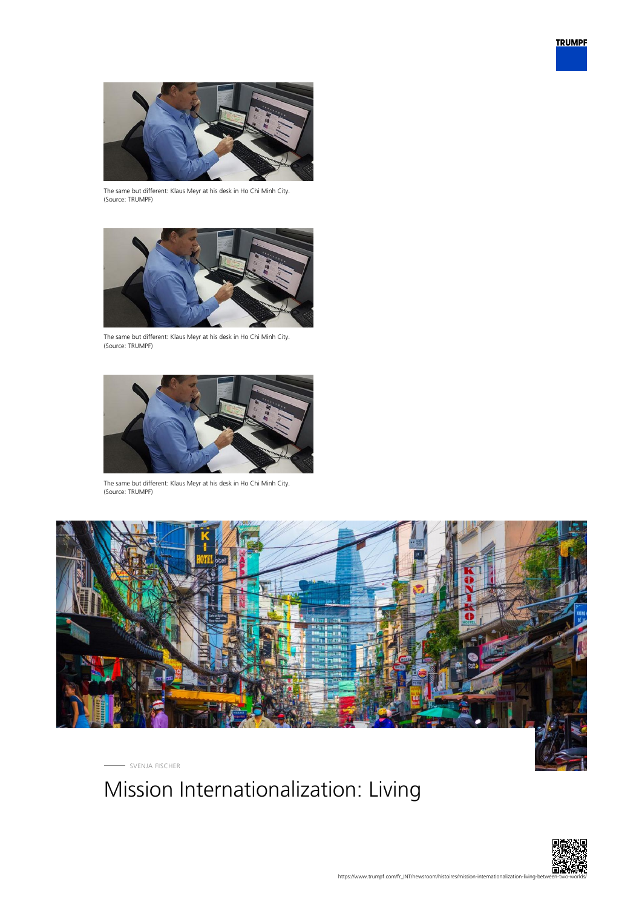



The same but different: Klaus Meyr at his desk in Ho Chi Minh City. (Source: TRUMPF)



The same but different: Klaus Meyr at his desk in Ho Chi Minh City. (Source: TRUMPF)



The same but different: Klaus Meyr at his desk in Ho Chi Minh City. (Source: TRUMPF)



SVENJA FISCHER

# Mission Internationalization: Living

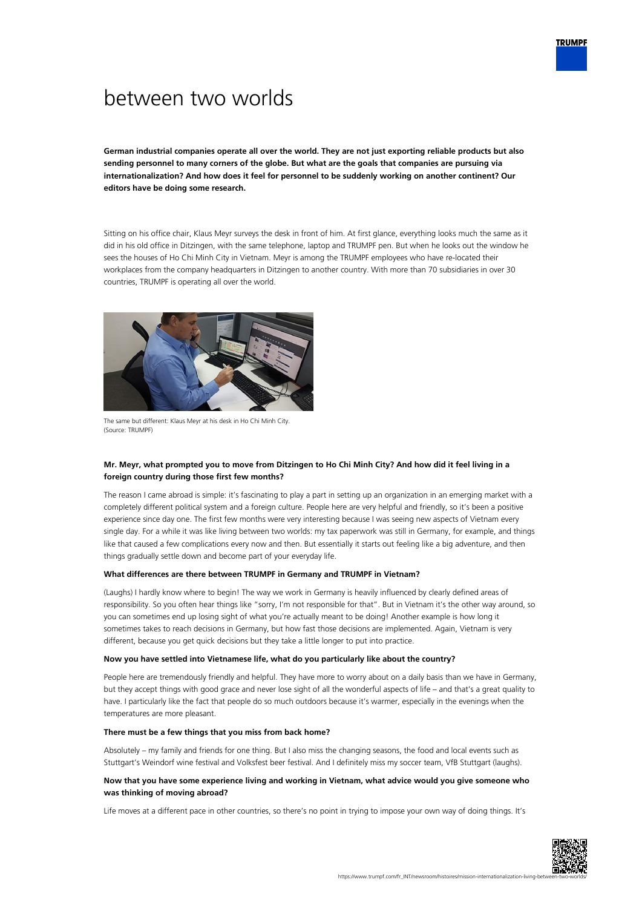# between two worlds

**German industrial companies operate all over the world. They are not just exporting reliable products but also sending personnel to many corners of the globe. But what are the goals that companies are pursuing via internationalization? And how does it feel for personnel to be suddenly working on another continent? Our editors have be doing some research.**

Sitting on his office chair, Klaus Meyr surveys the desk in front of him. At first glance, everything looks much the same as it did in his old office in Ditzingen, with the same telephone, laptop and TRUMPF pen. But when he looks out the window he sees the houses of Ho Chi Minh City in Vietnam. Meyr is among the TRUMPF employees who have re-located their workplaces from the company headquarters in Ditzingen to another country. With more than 70 subsidiaries in over 30 countries, TRUMPF is operating all over the world.



The same but different: Klaus Meyr at his desk in Ho Chi Minh City. (Source: TRUMPF)

## **Mr. Meyr, what prompted you to move from Ditzingen to Ho Chi Minh City? And how did it feel living in a foreign country during those first few months?**

The reason I came abroad is simple: it's fascinating to play a part in setting up an organization in an emerging market with a completely different political system and a foreign culture. People here are very helpful and friendly, so it's been a positive experience since day one. The first few months were very interesting because I was seeing new aspects of Vietnam every single day. For a while it was like living between two worlds: my tax paperwork was still in Germany, for example, and things like that caused a few complications every now and then. But essentially it starts out feeling like a big adventure, and then things gradually settle down and become part of your everyday life.

#### **What differences are there between TRUMPF in Germany and TRUMPF in Vietnam?**

(Laughs) I hardly know where to begin! The way we work in Germany is heavily influenced by clearly defined areas of responsibility. So you often hear things like "sorry, I'm not responsible for that". But in Vietnam it's the other way around, so you can sometimes end up losing sight of what you're actually meant to be doing! Another example is how long it sometimes takes to reach decisions in Germany, but how fast those decisions are implemented. Again, Vietnam is very different, because you get quick decisions but they take a little longer to put into practice.

#### **Now you have settled into Vietnamese life, what do you particularly like about the country?**

People here are tremendously friendly and helpful. They have more to worry about on a daily basis than we have in Germany, but they accept things with good grace and never lose sight of all the wonderful aspects of life – and that's a great quality to have. I particularly like the fact that people do so much outdoors because it's warmer, especially in the evenings when the temperatures are more pleasant.

#### **There must be a few things that you miss from back home?**

Absolutely – my family and friends for one thing. But I also miss the changing seasons, the food and local events such as Stuttgart's Weindorf wine festival and Volksfest beer festival. And I definitely miss my soccer team, VfB Stuttgart (laughs).

### **Now that you have some experience living and working in Vietnam, what advice would you give someone who was thinking of moving abroad?**

Life moves at a different pace in other countries, so there's no point in trying to impose your own way of doing things. It's